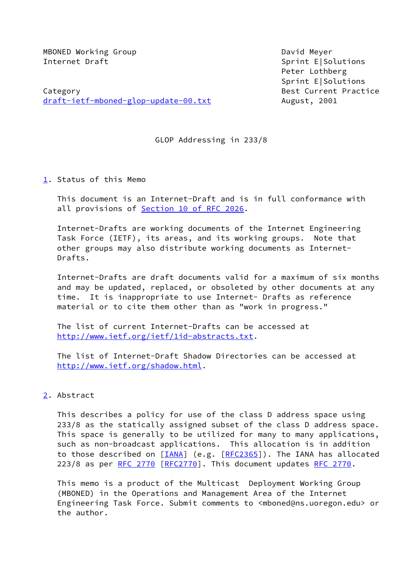MBONED Working Group David Meyer Internet Draft Sprint E Sprint E Solutions

Category **Best Current Practice** [draft-ietf-mboned-glop-update-00.txt](https://datatracker.ietf.org/doc/pdf/draft-ietf-mboned-glop-update-00.txt) August, 2001

 Peter Lothberg Sprint E|Solutions

GLOP Addressing in 233/8

<span id="page-0-0"></span>[1](#page-0-0). Status of this Memo

 This document is an Internet-Draft and is in full conformance with all provisions of Section [10 of RFC 2026](https://datatracker.ietf.org/doc/pdf/rfc2026#section-10).

 Internet-Drafts are working documents of the Internet Engineering Task Force (IETF), its areas, and its working groups. Note that other groups may also distribute working documents as Internet- Drafts.

 Internet-Drafts are draft documents valid for a maximum of six months and may be updated, replaced, or obsoleted by other documents at any time. It is inappropriate to use Internet- Drafts as reference material or to cite them other than as "work in progress."

 The list of current Internet-Drafts can be accessed at <http://www.ietf.org/ietf/1id-abstracts.txt>.

 The list of Internet-Draft Shadow Directories can be accessed at <http://www.ietf.org/shadow.html>.

# <span id="page-0-1"></span>[2](#page-0-1). Abstract

 This describes a policy for use of the class D address space using 233/8 as the statically assigned subset of the class D address space. This space is generally to be utilized for many to many applications, such as non-broadcast applications. This allocation is in addition to those described on [[IANA\]](#page-3-0) (e.g. [[RFC2365\]](https://datatracker.ietf.org/doc/pdf/rfc2365)). The IANA has allocated 223/8 as per [RFC 2770](https://datatracker.ietf.org/doc/pdf/rfc2770) [[RFC2770](https://datatracker.ietf.org/doc/pdf/rfc2770)]. This document updates [RFC 2770.](https://datatracker.ietf.org/doc/pdf/rfc2770)

 This memo is a product of the Multicast Deployment Working Group (MBONED) in the Operations and Management Area of the Internet Engineering Task Force. Submit comments to <mboned@ns.uoregon.edu> or the author.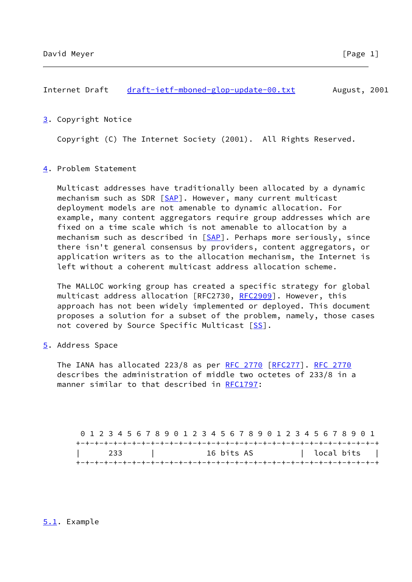<span id="page-1-0"></span>[3](#page-1-0). Copyright Notice

Copyright (C) The Internet Society (2001). All Rights Reserved.

### <span id="page-1-1"></span>[4](#page-1-1). Problem Statement

 Multicast addresses have traditionally been allocated by a dynamic mechanism such as SDR [[SAP](#page-4-0)]. However, many current multicast deployment models are not amenable to dynamic allocation. For example, many content aggregators require group addresses which are fixed on a time scale which is not amenable to allocation by a mechanism such as described in [\[SAP](#page-4-0)]. Perhaps more seriously, since there isn't general consensus by providers, content aggregators, or application writers as to the allocation mechanism, the Internet is left without a coherent multicast address allocation scheme.

 The MALLOC working group has created a specific strategy for global multicast address allocation [RFC2730, [RFC2909](https://datatracker.ietf.org/doc/pdf/rfc2909)]. However, this approach has not been widely implemented or deployed. This document proposes a solution for a subset of the problem, namely, those cases not covered by Source Specific Multicast [\[SS\]](#page-4-1).

<span id="page-1-2"></span>[5](#page-1-2). Address Space

The IANA has allocated 223/8 as per [RFC 2770](https://datatracker.ietf.org/doc/pdf/rfc2770) [\[RFC277](https://datatracker.ietf.org/doc/pdf/rfc277)]. [RFC 2770](https://datatracker.ietf.org/doc/pdf/rfc2770) describes the administration of middle two octetes of 233/8 in a manner similar to that described in [RFC1797:](https://datatracker.ietf.org/doc/pdf/rfc1797)

 0 1 2 3 4 5 6 7 8 9 0 1 2 3 4 5 6 7 8 9 0 1 2 3 4 5 6 7 8 9 0 1 +-+-+-+-+-+-+-+-+-+-+-+-+-+-+-+-+-+-+-+-+-+-+-+-+-+-+-+-+-+-+-+-+ | 233 | 16 bits AS | local bits | +-+-+-+-+-+-+-+-+-+-+-+-+-+-+-+-+-+-+-+-+-+-+-+-+-+-+-+-+-+-+-+-+

## <span id="page-1-3"></span>[5.1](#page-1-3). Example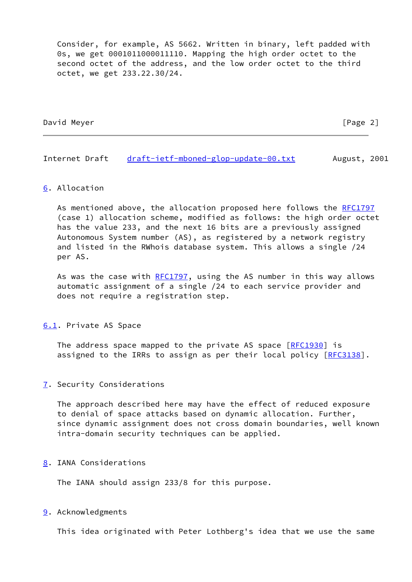Consider, for example, AS 5662. Written in binary, left padded with 0s, we get 0001011000011110. Mapping the high order octet to the second octet of the address, and the low order octet to the third octet, we get 233.22.30/24.

David Meyer [Page 2]

Internet Draft [draft-ietf-mboned-glop-update-00.txt](https://datatracker.ietf.org/doc/pdf/draft-ietf-mboned-glop-update-00.txt) August, 2001

#### <span id="page-2-0"></span>[6](#page-2-0). Allocation

As mentioned above, the allocation proposed here follows the [RFC1797](https://datatracker.ietf.org/doc/pdf/rfc1797) (case 1) allocation scheme, modified as follows: the high order octet has the value 233, and the next 16 bits are a previously assigned Autonomous System number (AS), as registered by a network registry and listed in the RWhois database system. This allows a single /24 per AS.

As was the case with [RFC1797](https://datatracker.ietf.org/doc/pdf/rfc1797), using the AS number in this way allows automatic assignment of a single /24 to each service provider and does not require a registration step.

#### <span id="page-2-1"></span>[6.1](#page-2-1). Private AS Space

The address space mapped to the private AS space [\[RFC1930](https://datatracker.ietf.org/doc/pdf/rfc1930)] is assigned to the IRRs to assign as per their local policy [\[RFC3138](https://datatracker.ietf.org/doc/pdf/rfc3138)].

#### <span id="page-2-2"></span>[7](#page-2-2). Security Considerations

 The approach described here may have the effect of reduced exposure to denial of space attacks based on dynamic allocation. Further, since dynamic assignment does not cross domain boundaries, well known intra-domain security techniques can be applied.

#### <span id="page-2-3"></span>[8](#page-2-3). IANA Considerations

The IANA should assign 233/8 for this purpose.

#### <span id="page-2-4"></span>[9](#page-2-4). Acknowledgments

This idea originated with Peter Lothberg's idea that we use the same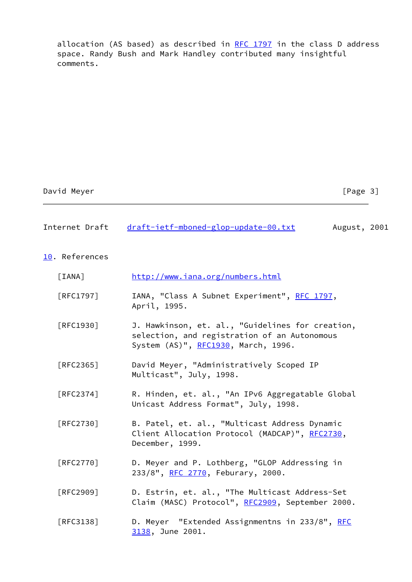allocation (AS based) as described in  $RFC$  1797 in the class D address space. Randy Bush and Mark Handley contributed many insightful comments.

| David Meyer |
|-------------|
|             |

 $[Page 3]$ 

| Internet Draft | draft-ietf-mboned-glop-update-00.txt | August, 2001 |
|----------------|--------------------------------------|--------------|
|----------------|--------------------------------------|--------------|

<span id="page-3-1"></span>[10.](#page-3-1) References

<span id="page-3-0"></span>

| [IANA]                           | http://www.iana.org/numbers.html                                                                                                        |
|----------------------------------|-----------------------------------------------------------------------------------------------------------------------------------------|
| $\lceil \mathsf{RFC1797} \rceil$ | IANA, "Class A Subnet Experiment", RFC 1797,<br>April, 1995.                                                                            |
| [REC1930]                        | J. Hawkinson, et. al., "Guidelines for creation,<br>selection, and registration of an Autonomous<br>System (AS)", RFC1930, March, 1996. |
| [RFC2365]                        | David Meyer, "Administratively Scoped IP<br>Multicast", July, 1998.                                                                     |
| [RFC2374]                        | R. Hinden, et. al., "An IPv6 Aggregatable Global<br>Unicast Address Format", July, 1998.                                                |
| [RFC2730]                        | B. Patel, et. al., "Multicast Address Dynamic<br>Client Allocation Protocol (MADCAP)", RFC2730,<br>December, 1999.                      |
| [RFC2770]                        | D. Meyer and P. Lothberg, "GLOP Addressing in<br>233/8", RFC 2770, Feburary, 2000.                                                      |
| [RFC2909]                        | D. Estrin, et. al., "The Multicast Address-Set<br>Claim (MASC) Protocol", RFC2909, September 2000.                                      |
| [RFC3138]                        | D. Meyer "Extended Assignmentns in 233/8", RFC<br>3138, June 2001.                                                                      |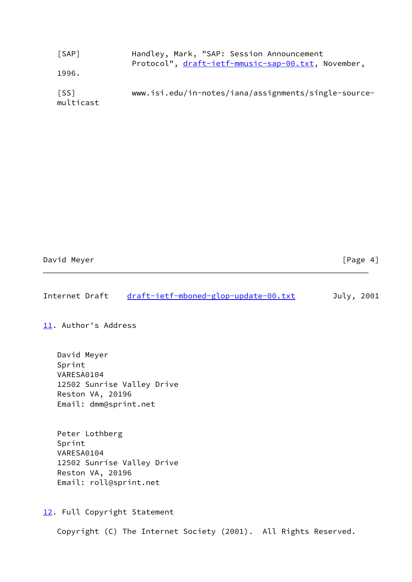<span id="page-4-1"></span><span id="page-4-0"></span>

| [SAP]             | Handley, Mark, "SAP: Session Announcement<br>Protocol", draft-ietf-mmusic-sap-00.txt, November, |
|-------------------|-------------------------------------------------------------------------------------------------|
| 1996.             |                                                                                                 |
| [SS]<br>multicast | www.isi.edu/in-notes/iana/assignments/single-source-                                            |

| David Meyer | [Page 4] |
|-------------|----------|
|             |          |

| July, 2001 |
|------------|
|------------|

<span id="page-4-2"></span>[11.](#page-4-2) Author's Address

 David Meyer Sprint VARESA0104 12502 Sunrise Valley Drive Reston VA, 20196 Email: dmm@sprint.net

 Peter Lothberg Sprint VARESA0104 12502 Sunrise Valley Drive Reston VA, 20196 Email: roll@sprint.net

<span id="page-4-3"></span>[12.](#page-4-3) Full Copyright Statement

Copyright (C) The Internet Society (2001). All Rights Reserved.